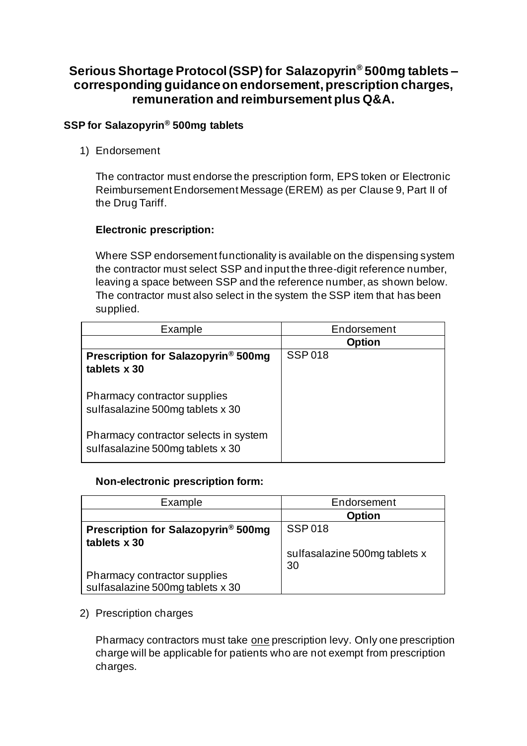# **Serious Shortage Protocol (SSP) for Salazopyrin® 500mg tablets – corresponding guidance on endorsement, prescription charges, remuneration and reimbursement plus Q&A.**

## **SSP for Salazopyrin® 500mg tablets**

1) Endorsement

The contractor must endorse the prescription form, EPS token or Electronic Reimbursement Endorsement Message (EREM) as per Clause 9, Part II of the Drug Tariff.

## **Electronic prescription:**

Where SSP endorsement functionality is available on the dispensing system the contractor must select SSP and input the three-digit reference number, leaving a space between SSP and the reference number, as shown below. The contractor must also select in the system the SSP item that has been supplied.

| Example                                                                   | Endorsement   |
|---------------------------------------------------------------------------|---------------|
|                                                                           | <b>Option</b> |
| Prescription for Salazopyrin <sup>®</sup> 500mg<br>tablets x 30           | <b>SSP018</b> |
| Pharmacy contractor supplies<br>sulfasalazine 500mg tablets x 30          |               |
| Pharmacy contractor selects in system<br>sulfasalazine 500mg tablets x 30 |               |

## **Non-electronic prescription form:**

| Example                                                          | Endorsement                         |
|------------------------------------------------------------------|-------------------------------------|
|                                                                  | <b>Option</b>                       |
| Prescription for Salazopyrin <sup>®</sup> 500mg<br>tablets x 30  | <b>SSP018</b>                       |
|                                                                  | sulfasalazine 500mg tablets x<br>30 |
| Pharmacy contractor supplies<br>sulfasalazine 500mg tablets x 30 |                                     |

2) Prescription charges

Pharmacy contractors must take one prescription levy. Only one prescription charge will be applicable for patients who are not exempt from prescription charges.